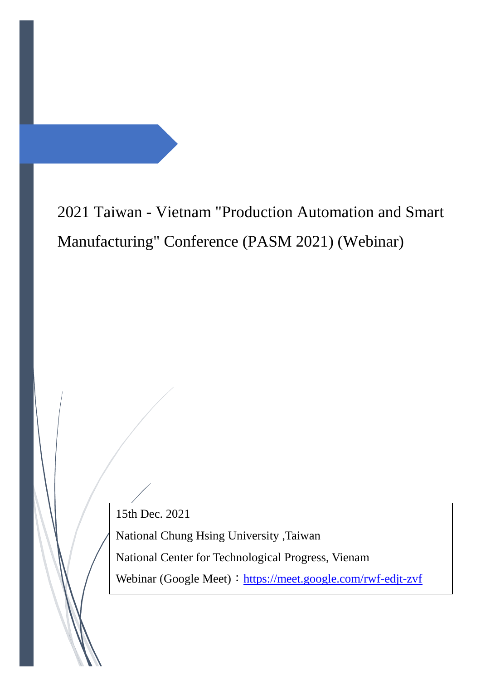2021 Taiwan - Vietnam "Production Automation and Smart Manufacturing" Conference (PASM 2021) (Webinar)

15th Dec. 2021

National Chung Hsing University ,Taiwan

National Center for Technological Progress, Vienam

Webinar (Google Meet): https://meet.google.com/rwf-edjt-zvf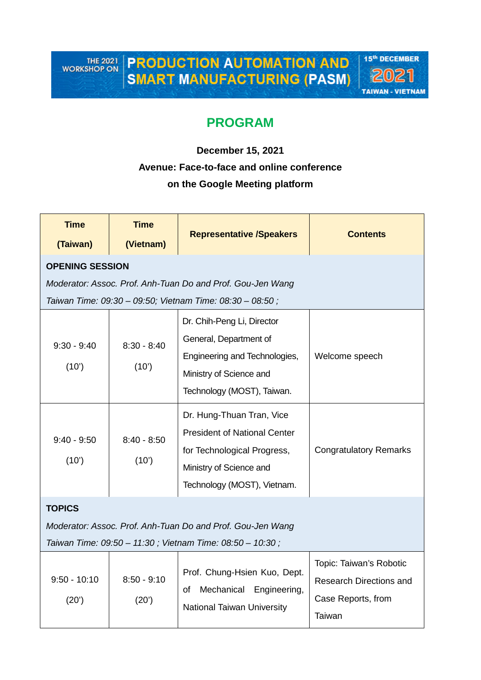THE 2021<br>WORKSHOP ON

**PRODUCTION AUTOMATION AND SMART MANUFACTURING (PASM)** 



# **PROGRAM**

# **December 15, 2021 Avenue: Face-to-face and online conference on the Google Meeting platform**

| <b>Time</b><br>(Taiwan)                                                                                                                 | <b>Time</b><br>(Vietnam) | <b>Representative /Speakers</b>                                                                                                                           | <b>Contents</b>                                                                           |  |  |  |  |
|-----------------------------------------------------------------------------------------------------------------------------------------|--------------------------|-----------------------------------------------------------------------------------------------------------------------------------------------------------|-------------------------------------------------------------------------------------------|--|--|--|--|
| <b>OPENING SESSION</b>                                                                                                                  |                          |                                                                                                                                                           |                                                                                           |  |  |  |  |
| Moderator: Assoc. Prof. Anh-Tuan Do and Prof. Gou-Jen Wang<br>Taiwan Time: 09:30 - 09:50; Vietnam Time: 08:30 - 08:50;                  |                          |                                                                                                                                                           |                                                                                           |  |  |  |  |
| $9:30 - 9:40$<br>(10')                                                                                                                  | $8:30 - 8:40$<br>(10')   | Dr. Chih-Peng Li, Director<br>General, Department of<br>Engineering and Technologies,<br>Ministry of Science and<br>Technology (MOST), Taiwan.            | Welcome speech                                                                            |  |  |  |  |
| $9:40 - 9:50$<br>(10')                                                                                                                  | $8:40 - 8:50$<br>(10)    | Dr. Hung-Thuan Tran, Vice<br><b>President of National Center</b><br>for Technological Progress,<br>Ministry of Science and<br>Technology (MOST), Vietnam. | <b>Congratulatory Remarks</b>                                                             |  |  |  |  |
| <b>TOPICS</b><br>Moderator: Assoc. Prof. Anh-Tuan Do and Prof. Gou-Jen Wang<br>Taiwan Time: 09:50 - 11:30; Vietnam Time: 08:50 - 10:30; |                          |                                                                                                                                                           |                                                                                           |  |  |  |  |
| $9:50 - 10:10$<br>(20)                                                                                                                  | $8:50 - 9:10$<br>(20')   | Prof. Chung-Hsien Kuo, Dept.<br>Mechanical Engineering,<br>οf<br><b>National Taiwan University</b>                                                        | Topic: Taiwan's Robotic<br><b>Research Directions and</b><br>Case Reports, from<br>Taiwan |  |  |  |  |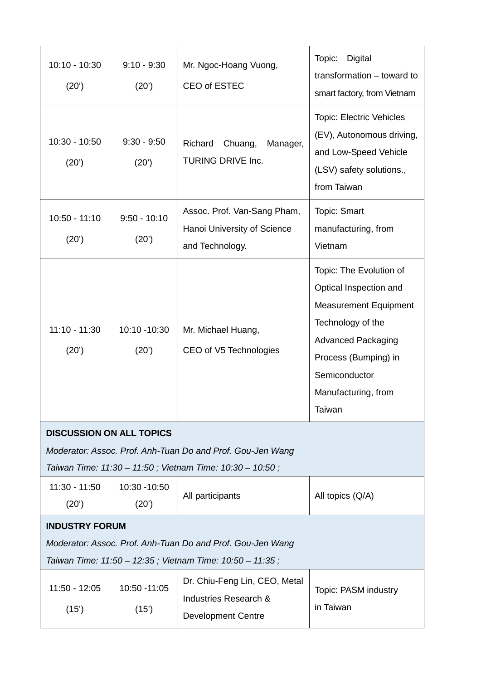| $10:10 - 10:30$<br>(20')                                                                                               | $9:10 - 9:30$<br>(20')  | Mr. Ngoc-Hoang Vuong,<br>CEO of ESTEC                                               | Topic:<br>Digital<br>transformation - toward to<br>smart factory, from Vietnam                                                                                                                                |  |  |  |
|------------------------------------------------------------------------------------------------------------------------|-------------------------|-------------------------------------------------------------------------------------|---------------------------------------------------------------------------------------------------------------------------------------------------------------------------------------------------------------|--|--|--|
| $10:30 - 10:50$<br>(20')                                                                                               | $9:30 - 9:50$<br>(20')  | Richard<br>Chuang,<br>Manager,<br>TURING DRIVE Inc.                                 | <b>Topic: Electric Vehicles</b><br>(EV), Autonomous driving,<br>and Low-Speed Vehicle<br>(LSV) safety solutions.,<br>from Taiwan                                                                              |  |  |  |
| $10:50 - 11:10$<br>(20')                                                                                               | $9:50 - 10:10$<br>(20') | Assoc. Prof. Van-Sang Pham,<br>Hanoi University of Science<br>and Technology.       | <b>Topic: Smart</b><br>manufacturing, from<br>Vietnam                                                                                                                                                         |  |  |  |
| $11:10 - 11:30$<br>(20')                                                                                               | 10:10 -10:30<br>(20')   | Mr. Michael Huang,<br>CEO of V5 Technologies                                        | Topic: The Evolution of<br>Optical Inspection and<br><b>Measurement Equipment</b><br>Technology of the<br><b>Advanced Packaging</b><br>Process (Bumping) in<br>Semiconductor<br>Manufacturing, from<br>Taiwan |  |  |  |
| <b>DISCUSSION ON ALL TOPICS</b>                                                                                        |                         |                                                                                     |                                                                                                                                                                                                               |  |  |  |
|                                                                                                                        |                         | Moderator: Assoc. Prof. Anh-Tuan Do and Prof. Gou-Jen Wang                          |                                                                                                                                                                                                               |  |  |  |
| Taiwan Time: 11:30 - 11:50; Vietnam Time: 10:30 - 10:50;                                                               |                         |                                                                                     |                                                                                                                                                                                                               |  |  |  |
| $11:30 - 11:50$<br>(20')                                                                                               | 10:30 - 10:50<br>(20')  | All participants                                                                    | All topics (Q/A)                                                                                                                                                                                              |  |  |  |
| <b>INDUSTRY FORUM</b>                                                                                                  |                         |                                                                                     |                                                                                                                                                                                                               |  |  |  |
| Moderator: Assoc. Prof. Anh-Tuan Do and Prof. Gou-Jen Wang<br>Taiwan Time: 11:50 - 12:35; Vietnam Time: 10:50 - 11:35; |                         |                                                                                     |                                                                                                                                                                                                               |  |  |  |
| $11:50 - 12:05$<br>(15)                                                                                                | 10:50 - 11:05<br>(15)   | Dr. Chiu-Feng Lin, CEO, Metal<br>Industries Research &<br><b>Development Centre</b> | Topic: PASM industry<br>in Taiwan                                                                                                                                                                             |  |  |  |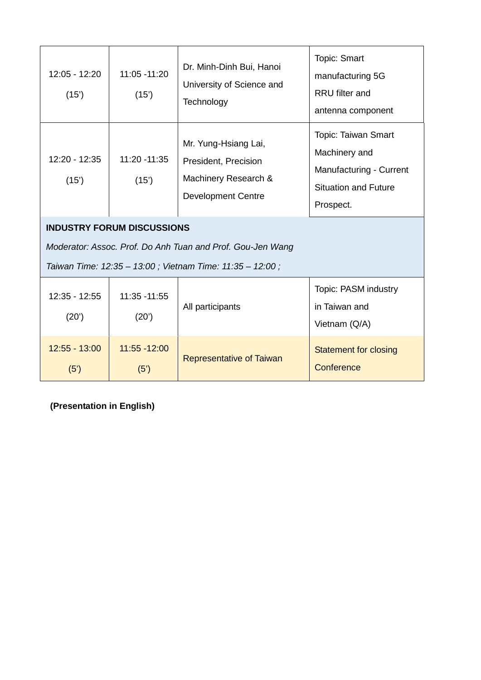| 12:05 - 12:20<br>(15')                                                                          | 11:05 - 11:20<br>(15)  | Dr. Minh-Dinh Bui, Hanoi<br>University of Science and<br>Technology                               | <b>Topic: Smart</b><br>manufacturing 5G<br><b>RRU</b> filter and<br>antenna component                                     |  |  |  |
|-------------------------------------------------------------------------------------------------|------------------------|---------------------------------------------------------------------------------------------------|---------------------------------------------------------------------------------------------------------------------------|--|--|--|
| $12:20 - 12:35$<br>(15')                                                                        | 11:20 - 11:35<br>(15)  | Mr. Yung-Hsiang Lai,<br>President, Precision<br>Machinery Research &<br><b>Development Centre</b> | <b>Topic: Taiwan Smart</b><br>Machinery and<br><b>Manufacturing - Current</b><br><b>Situation and Future</b><br>Prospect. |  |  |  |
| <b>INDUSTRY FORUM DISCUSSIONS</b><br>Moderator: Assoc. Prof. Do Anh Tuan and Prof. Gou-Jen Wang |                        |                                                                                                   |                                                                                                                           |  |  |  |
| Taiwan Time: 12:35 - 13:00; Vietnam Time: 11:35 - 12:00;                                        |                        |                                                                                                   |                                                                                                                           |  |  |  |
| $12:35 - 12:55$<br>(20')                                                                        | 11:35 - 11:55<br>(20') | All participants                                                                                  | Topic: PASM industry<br>in Taiwan and<br>Vietnam (Q/A)                                                                    |  |  |  |
| $12:55 - 13:00$<br>(5')                                                                         | 11:55 - 12:00<br>(5')  | <b>Representative of Taiwan</b>                                                                   | <b>Statement for closing</b><br>Conference                                                                                |  |  |  |

**(Presentation in English)**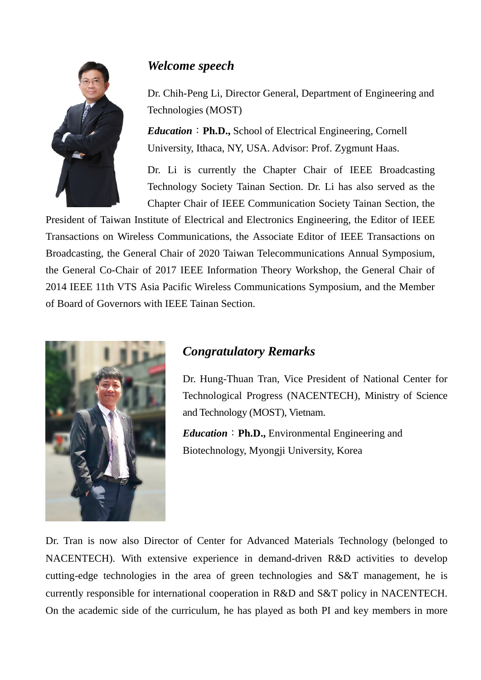

# *Welcome speech*

Dr. Chih-Peng Li, Director General, Department of Engineering and Technologies (MOST)

*Education*:**Ph.D.,** School of Electrical Engineering, Cornell University, Ithaca, NY, USA. Advisor: Prof. Zygmunt Haas.

Dr. Li is currently the Chapter Chair of IEEE Broadcasting Technology Society Tainan Section. Dr. Li has also served as the Chapter Chair of IEEE Communication Society Tainan Section, the

President of Taiwan Institute of Electrical and Electronics Engineering, the Editor of IEEE Transactions on Wireless Communications, the Associate Editor of IEEE Transactions on Broadcasting, the General Chair of 2020 Taiwan Telecommunications Annual Symposium, the General Co-Chair of 2017 IEEE Information Theory Workshop, the General Chair of 2014 IEEE 11th VTS Asia Pacific Wireless Communications Symposium, and the Member of Board of Governors with IEEE Tainan Section.



# *Congratulatory Remarks*

Dr. Hung-Thuan Tran, Vice President of National Center for Technological Progress (NACENTECH), Ministry of Science and Technology (MOST), Vietnam.

*Education*:**Ph.D.,** Environmental Engineering and Biotechnology, Myongji University, Korea

Dr. Tran is now also Director of Center for Advanced Materials Technology (belonged to NACENTECH). With extensive experience in demand-driven R&D activities to develop cutting-edge technologies in the area of green technologies and S&T management, he is currently responsible for international cooperation in R&D and S&T policy in NACENTECH. On the academic side of the curriculum, he has played as both PI and key members in more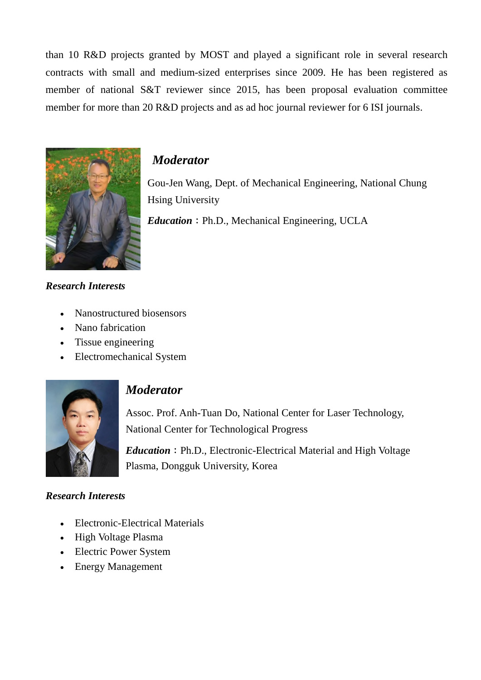than 10 R&D projects granted by MOST and played a significant role in several research contracts with small and medium-sized enterprises since 2009. He has been registered as member of national S&T reviewer since 2015, has been proposal evaluation committee member for more than 20 R&D projects and as ad hoc journal reviewer for 6 ISI journals.



## *Moderator*

Gou-Jen Wang, Dept. of Mechanical Engineering, National Chung Hsing University

*Education*: Ph.D., Mechanical Engineering, UCLA

## *Research Interests*

- Nanostructured biosensors
- Nano fabrication
- Tissue engineering
- Electromechanical System



## *Moderator*

Assoc. Prof. Anh-Tuan Do, National Center for Laser Technology, National Center for Technological Progress

*Education*: Ph.D., Electronic-Electrical Material and High Voltage Plasma, Dongguk University, Korea

## *Research Interests*

- Electronic-Electrical Materials
- High Voltage Plasma
- Electric Power System
- Energy Management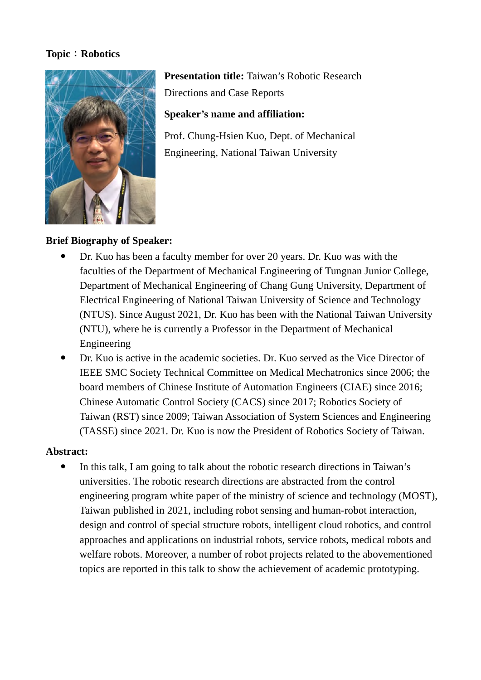#### **Topic**:**Robotics**



**Presentation title:** Taiwan's Robotic Research Directions and Case Reports

## **Speaker's name and affiliation:**

Prof. Chung-Hsien Kuo, Dept. of Mechanical Engineering, National Taiwan University

## **Brief Biography of Speaker:**

- Dr. Kuo has been a faculty member for over 20 years. Dr. Kuo was with the faculties of the Department of Mechanical Engineering of Tungnan Junior College, Department of Mechanical Engineering of Chang Gung University, Department of Electrical Engineering of National Taiwan University of Science and Technology (NTUS). Since August 2021, Dr. Kuo has been with the National Taiwan University (NTU), where he is currently a Professor in the Department of Mechanical Engineering
- Dr. Kuo is active in the academic societies. Dr. Kuo served as the Vice Director of IEEE SMC Society Technical Committee on Medical Mechatronics since 2006; the board members of Chinese Institute of Automation Engineers (CIAE) since 2016; Chinese Automatic Control Society (CACS) since 2017; Robotics Society of Taiwan (RST) since 2009; Taiwan Association of System Sciences and Engineering (TASSE) since 2021. Dr. Kuo is now the President of Robotics Society of Taiwan.

## **Abstract:**

 In this talk, I am going to talk about the robotic research directions in Taiwan's universities. The robotic research directions are abstracted from the control engineering program white paper of the ministry of science and technology (MOST), Taiwan published in 2021, including robot sensing and human-robot interaction, design and control of special structure robots, intelligent cloud robotics, and control approaches and applications on industrial robots, service robots, medical robots and welfare robots. Moreover, a number of robot projects related to the abovementioned topics are reported in this talk to show the achievement of academic prototyping.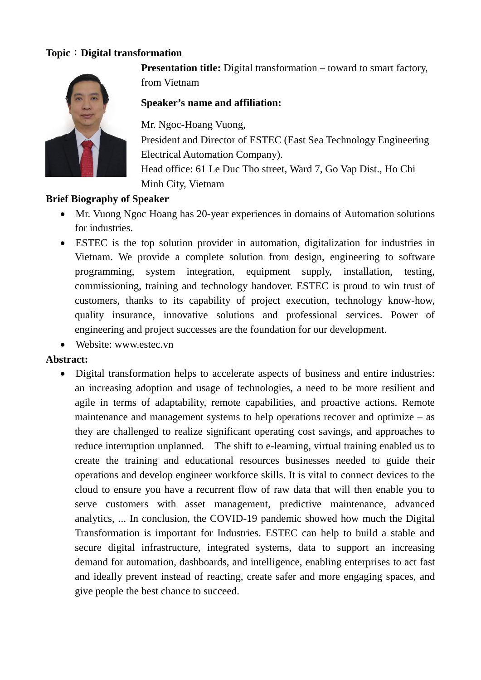## **Topic**:**Digital transformation**



**Presentation title:** Digital transformation – toward to smart factory, from Vietnam

## **Speaker's name and affiliation:**

Mr. Ngoc-Hoang Vuong,

President and Director of ESTEC (East Sea Technology Engineering Electrical Automation Company).

Head office: 61 Le Duc Tho street, Ward 7, Go Vap Dist., Ho Chi Minh City, Vietnam

## **Brief Biography of Speaker**

- Mr. Vuong Ngoc Hoang has 20-year experiences in domains of Automation solutions for industries.
- ESTEC is the top solution provider in automation, digitalization for industries in Vietnam. We provide a complete solution from design, engineering to software programming, system integration, equipment supply, installation, testing, commissioning, training and technology handover. ESTEC is proud to win trust of customers, thanks to its capability of project execution, technology know-how, quality insurance, innovative solutions and professional services. Power of engineering and project successes are the foundation for our development.
- Website: www.estec.vn

## **Abstract:**

 Digital transformation helps to accelerate aspects of business and entire industries: an increasing adoption and usage of technologies, a need to be more resilient and agile in terms of adaptability, remote capabilities, and proactive actions. Remote maintenance and management systems to help operations recover and optimize – as they are challenged to realize significant operating cost savings, and approaches to reduce interruption unplanned. The shift to e-learning, virtual training enabled us to create the training and educational resources businesses needed to guide their operations and develop engineer workforce skills. It is vital to connect devices to the cloud to ensure you have a recurrent flow of raw data that will then enable you to serve customers with asset management, predictive maintenance, advanced analytics, ... In conclusion, the COVID-19 pandemic showed how much the Digital Transformation is important for Industries. ESTEC can help to build a stable and secure digital infrastructure, integrated systems, data to support an increasing demand for automation, dashboards, and intelligence, enabling enterprises to act fast and ideally prevent instead of reacting, create safer and more engaging spaces, and give people the best chance to succeed.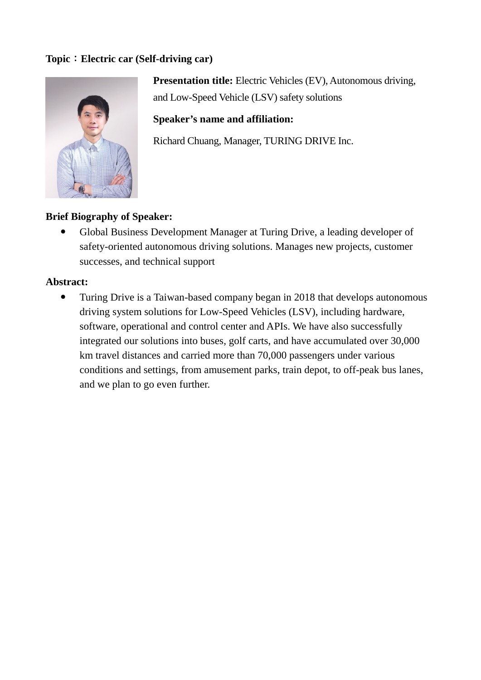## **Topic**:**Electric car (Self-driving car)**



**Presentation title:** Electric Vehicles (EV), Autonomous driving, and Low-Speed Vehicle (LSV) safety solutions

**Speaker's name and affiliation:**

Richard Chuang, Manager, TURING DRIVE Inc.

## **Brief Biography of Speaker:**

 Global Business Development Manager at Turing Drive, a leading developer of safety-oriented autonomous driving solutions. Manages new projects, customer successes, and technical support

#### **Abstract:**

 Turing Drive is a Taiwan-based company began in 2018 that develops autonomous driving system solutions for Low-Speed Vehicles (LSV), including hardware, software, operational and control center and APIs. We have also successfully integrated our solutions into buses, golf carts, and have accumulated over 30,000 km travel distances and carried more than 70,000 passengers under various conditions and settings, from amusement parks, train depot, to off-peak bus lanes, and we plan to go even further.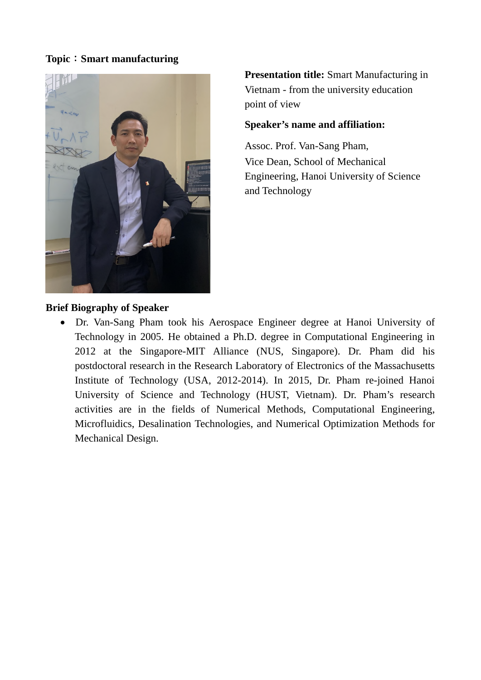#### **Topic**:**Smart manufacturing**



**Presentation title:** Smart Manufacturing in Vietnam - from the university education point of view

#### **Speaker's name and affiliation:**

Assoc. Prof. Van-Sang Pham, Vice Dean, School of Mechanical Engineering, Hanoi University of Science and Technology

## **Brief Biography of Speaker**

 Dr. Van-Sang Pham took his Aerospace Engineer degree at Hanoi University of Technology in 2005. He obtained a Ph.D. degree in Computational Engineering in 2012 at the Singapore-MIT Alliance (NUS, Singapore). Dr. Pham did his postdoctoral research in the Research Laboratory of Electronics of the Massachusetts Institute of Technology (USA, 2012-2014). In 2015, Dr. Pham re-joined Hanoi University of Science and Technology (HUST, Vietnam). Dr. Pham's research activities are in the fields of Numerical Methods, Computational Engineering, Microfluidics, Desalination Technologies, and Numerical Optimization Methods for Mechanical Design.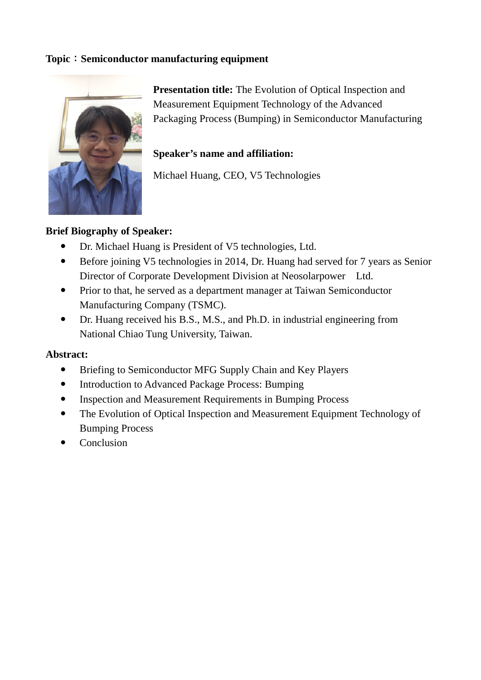## **Topic**:**Semiconductor manufacturing equipment**



**Presentation title:** The Evolution of Optical Inspection and Measurement Equipment Technology of the Advanced Packaging Process (Bumping) in Semiconductor Manufacturing

## **Speaker's name and affiliation:**

Michael Huang, CEO, V5 Technologies

## **Brief Biography of Speaker:**

- Dr. Michael Huang is President of V5 technologies, Ltd.
- Before joining V5 technologies in 2014, Dr. Huang had served for 7 years as Senior Director of Corporate Development Division at Neosolarpower Ltd.
- Prior to that, he served as a department manager at Taiwan Semiconductor Manufacturing Company (TSMC).
- Dr. Huang received his B.S., M.S., and Ph.D. in industrial engineering from National Chiao Tung University, Taiwan.

## **Abstract:**

- Briefing to Semiconductor MFG Supply Chain and Key Players
- Introduction to Advanced Package Process: Bumping
- Inspection and Measurement Requirements in Bumping Process
- The Evolution of Optical Inspection and Measurement Equipment Technology of Bumping Process
- Conclusion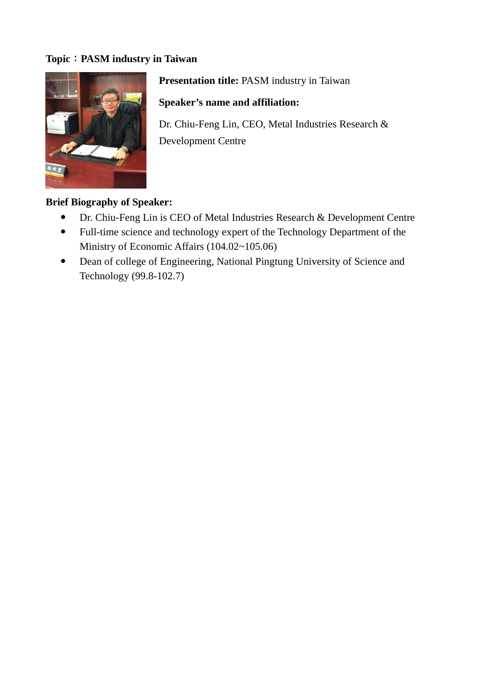## **Topic**:**PASM industry in Taiwan**



**Presentation title:** PASM industry in Taiwan

**Speaker's name and affiliation:**

Dr. Chiu-Feng Lin, CEO, Metal Industries Research & Development Centre

#### **Brief Biography of Speaker:**

- Dr. Chiu-Feng Lin is CEO of Metal Industries Research & Development Centre
- Full-time science and technology expert of the Technology Department of the Ministry of Economic Affairs (104.02~105.06)
- Dean of college of Engineering, National Pingtung University of Science and Technology (99.8-102.7)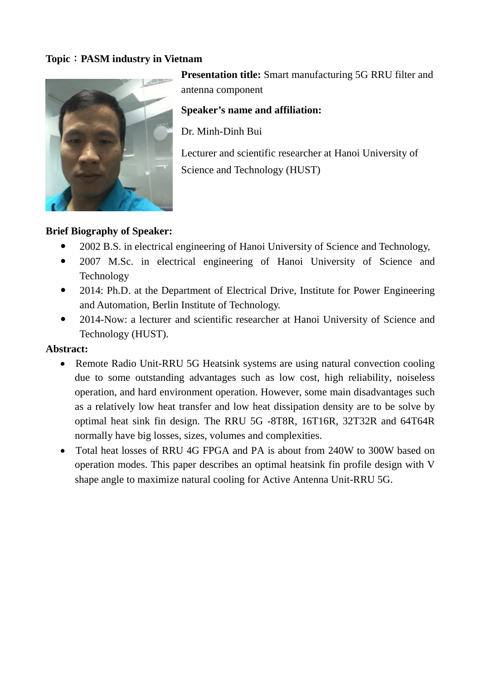## **Topic**:**PASM industry in Vietnam**



**Presentation title:** Smart manufacturing 5G RRU filter and antenna component

**Speaker's name and affiliation:**

Dr. Minh-Dinh Bui

Lecturer and scientific researcher at Hanoi University of Science and Technology (HUST)

## **Brief Biography of Speaker:**

- 2002 B.S. in electrical engineering of Hanoi University of Science and Technology,
- 2007 M.Sc. in electrical engineering of Hanoi University of Science and Technology
- 2014: Ph.D. at the Department of Electrical Drive, Institute for Power Engineering and Automation, Berlin Institute of Technology.
- 2014-Now: a lecturer and scientific researcher at Hanoi University of Science and Technology (HUST).

## **Abstract:**

- Remote Radio Unit-RRU 5G Heatsink systems are using natural convection cooling due to some outstanding advantages such as low cost, high reliability, noiseless operation, and hard environment operation. However, some main disadvantages such as a relatively low heat transfer and low heat dissipation density are to be solve by optimal heat sink fin design. The RRU 5G -8T8R, 16T16R, 32T32R and 64T64R normally have big losses, sizes, volumes and complexities.
- Total heat losses of RRU 4G FPGA and PA is about from 240W to 300W based on operation modes. This paper describes an optimal heatsink fin profile design with V shape angle to maximize natural cooling for Active Antenna Unit-RRU 5G.